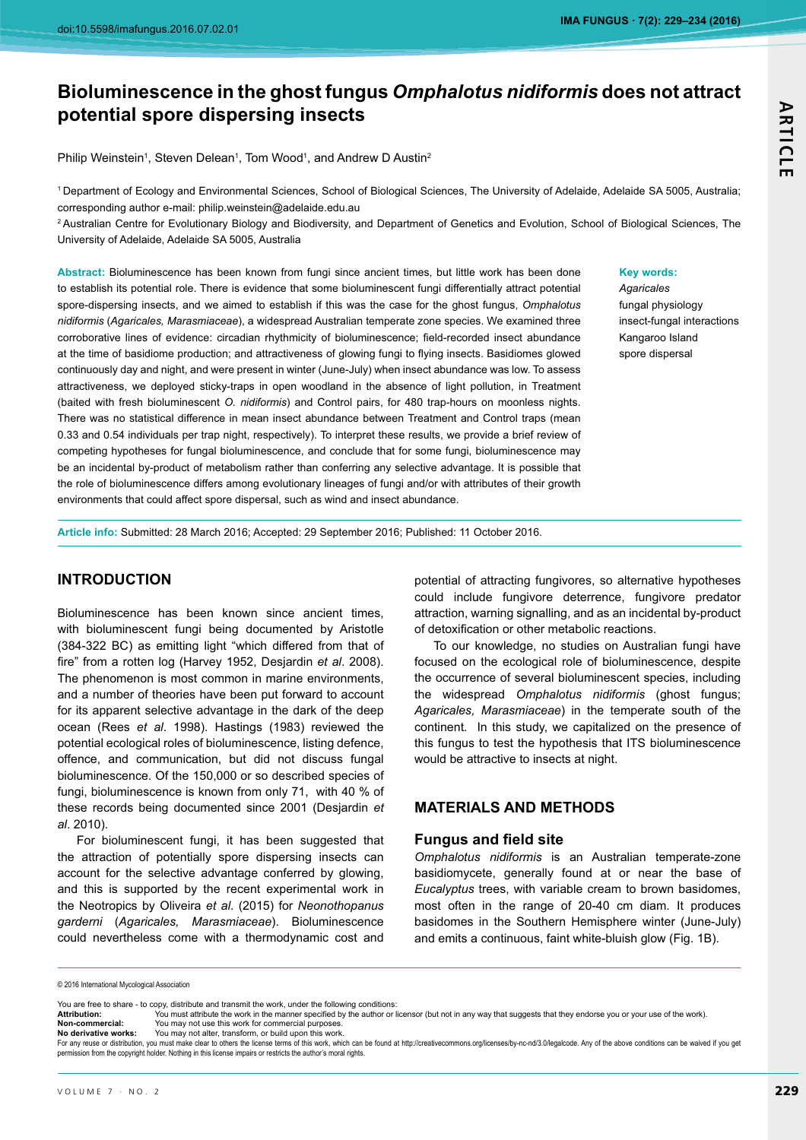# Bioluminescence in the ghost fungus *Omphalotus nidiformis* does not attract **potential spore dispersing insects**

Philip Weinstein<sup>1</sup>, Steven Delean<sup>1</sup>, Tom Wood<sup>1</sup>, and Andrew D Austin<sup>2</sup>

1 Department of Ecology and Environmental Sciences, School of Biological Sciences, The University of Adelaide, Adelaide SA 5005, Australia; corresponding author e-mail: philip.weinstein@adelaide.edu.au

<sup>2</sup> Australian Centre for Evolutionary Biology and Biodiversity, and Department of Genetics and Evolution, School of Biological Sciences, The University of Adelaide, Adelaide SA 5005, Australia

Abstract: Bioluminescence has been known from fungi since ancient times, but little work has been done to establish its potential role. There is evidence that some bioluminescent fungi differentially attract potential spore-dispersing insects, and we aimed to establish if this was the case for the ghost fungus, *Omphalotus nidiformis* (*Agaricales, Marasmiaceae*), a widespread Australian temperate zone species. We examined three corroborative lines of evidence: circadian rhythmicity of bioluminescence; field-recorded insect abundance at the time of basidiome production; and attractiveness of glowing fungi to flying insects. Basidiomes glowed continuously day and night, and were present in winter (June-July) when insect abundance was low. To assess attractiveness, we deployed sticky-traps in open woodland in the absence of light pollution, in Treatment (baited with fresh bioluminescent *O. nidiformis*) and Control pairs, for 480 trap-hours on moonless nights. There was no statistical difference in mean insect abundance between Treatment and Control traps (mean 0.33 and 0.54 individuals per trap night, respectively). To interpret these results, we provide a brief review of competing hypotheses for fungal bioluminescence, and conclude that for some fungi, bioluminescence may be an incidental by-product of metabolism rather than conferring any selective advantage. It is possible that the role of bioluminescence differs among evolutionary lineages of fungi and/or with attributes of their growth environments that could affect spore dispersal, such as wind and insect abundance.

#### **Key words:**

*Agaricales* fungal physiology insect-fungal interactions Kangaroo Island spore dispersal

Article info: Submitted: 28 March 2016; Accepted: 29 September 2016; Published: 11 October 2016.

## **INTRODUCTION**

Bioluminescence has been known since ancient times, with bioluminescent fungi being documented by Aristotle (384-322 BC) as emitting light "which differed from that of fire" from a rotten log (Harvey 1952, Desjardin *et al*. 2008). The phenomenon is most common in marine environments, and a number of theories have been put forward to account for its apparent selective advantage in the dark of the deep ocean (Rees *et al.* 1998). Hastings (1983) reviewed the potential ecological roles of bioluminescence, listing defence, offence, and communication, but did not discuss fungal bioluminescence. Of the 150,000 or so described species of fungi, bioluminescence is known from only 71, with 40 % of these records being documented since 2001 (Desjardin et *al*, 2010).

For bioluminescent fungi, it has been suggested that the attraction of potentially spore dispersing insects can account for the selective advantage conferred by glowing, and this is supported by the recent experimental work in the Neotropics by Oliveira et al. (2015) for Neonothopanus *garderni* (*Agaricales, Marasmiaceae*). Bioluminescence could nevertheless come with a thermodynamic cost and

potential of attracting fungivores, so alternative hypotheses could include fungivore deterrence, fungivore predator attraction, warning signalling, and as an incidental by-product of detoxification or other metabolic reactions.

To our knowledge, no studies on Australian fungi have focused on the ecological role of bioluminescence, despite the occurrence of several bioluminescent species, including the widespread *Omphalotus nidiformis* (ghost fungus; *Agaricales, Marasmiaceae*) in the temperate south of the continent. In this study, we capitalized on the presence of this fungus to test the hypothesis that ITS bioluminescence would be attractive to insects at night.

#### **MATERIALS AND METHODS**

#### **Fungus and field site**

*Omphalotus nidiformis* is an Australian temperate-zone basidiomycete, generally found at or near the base of *Eucalyptus* most often in the range of 20-40 cm diam. It produces basidomes in the Southern Hemisphere winter (June-July) and emits a continuous, faint white-bluish glow (Fig. 1B).

© 2016 International Mycological Association

**No derivative works:** You may not alter, transform, or build upon this work

# **ARTICLE ARTICLE**

You are free to share - to copy, distribute and transmit the work, under the following conditions:<br> **Attribution:** You must attribute the work in the manner specified by the author or

Attribution: You must attribute the work in the manner specified by the author or licensor (but not in any way that suggests that they endorse you or your use of the work). **Non-commercial:** this work for commercial purposes.

For any reuse or distribution, you must make clear to others the license terms of this work, which can be found at http://creativecommons.org/licenses/by-nc-nd/3.0/legalcode. Any of the above conditions can be waived if yo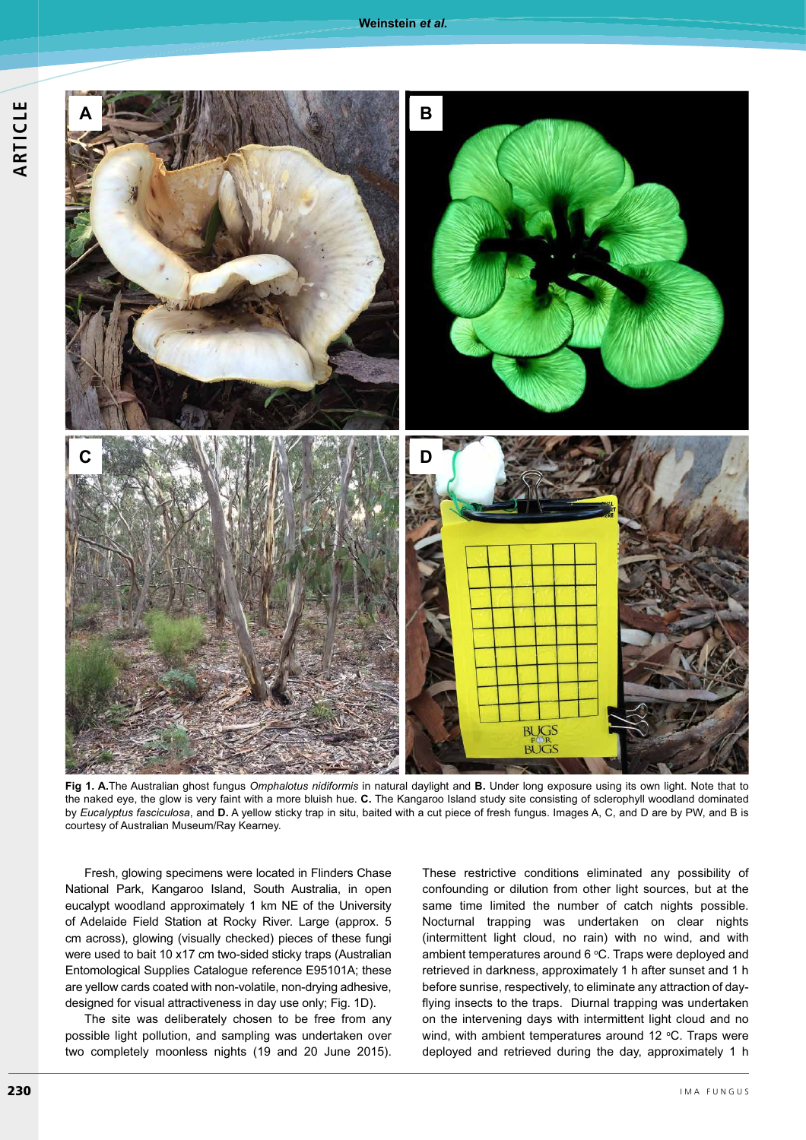

**Fig 1. A.**The Australian ghost fungus *Omphalotus nidiformis* in natural daylight and **B.** Under long exposure using its own light. Note that to the naked eye, the glow is very faint with a more bluish hue. C. The Kangaroo Island study site consisting of sclerophyll woodland dominated by *Eucalyptus fasciculosa*, and **D.** A yellow sticky trap in situ, baited with a cut piece of fresh fungus. Images A, C, and D are by PW, and B is courtesy of Australian Museum/Ray Kearney.

Fresh, glowing specimens were located in Flinders Chase National Park, Kangaroo Island, South Australia, in open eucalypt woodland approximately 1 km NE of the University of Adelaide Field Station at Rocky River. Large (approx. 5 cm across), glowing (visually checked) pieces of these fungi were used to bait 10 x17 cm two-sided sticky traps (Australian Entomological Supplies Catalogue reference E95101A; these are yellow cards coated with non-volatile, non-drying adhesive, designed for visual attractiveness in day use only; Fig. 1D).

The site was deliberately chosen to be free from any possible light pollution, and sampling was undertaken over two completely moonless nights (19 and 20 June 2015).

These restrictive conditions eliminated any possibility of confounding or dilution from other light sources, but at the same time limited the number of catch nights possible. Nocturnal trapping was undertaken on clear nights (intermittent light cloud, no rain) with no wind, and with ambient temperatures around 6 °C. Traps were deployed and retrieved in darkness, approximately 1 h after sunset and 1 h before sunrise, respectively, to eliminate any attraction of dayflying insects to the traps. Diurnal trapping was undertaken on the intervening days with intermittent light cloud and no wind, with ambient temperatures around 12  $\degree$ C. Traps were deployed and retrieved during the day, approximately 1 h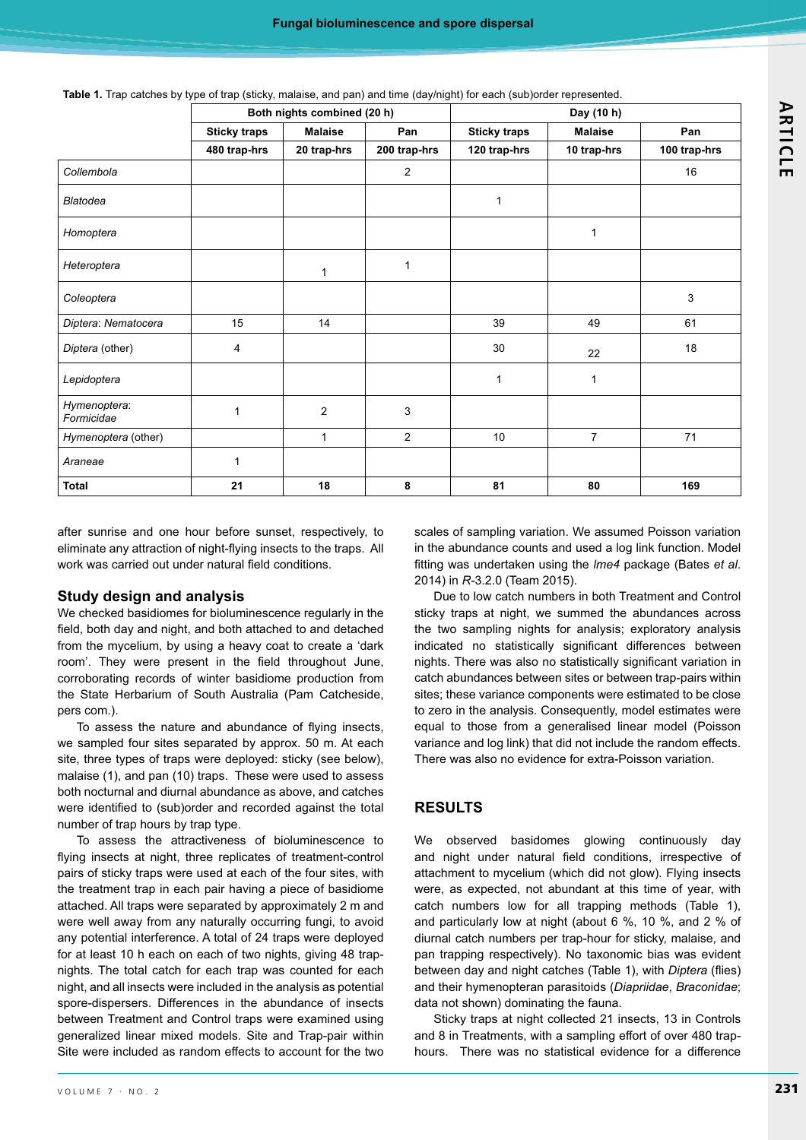| Table 1. Trap catches by type of trap (sticky, malaise, and pan) and time (day/night) for each (sub)order represented. |  |  |  |  |  |  |  |
|------------------------------------------------------------------------------------------------------------------------|--|--|--|--|--|--|--|
|------------------------------------------------------------------------------------------------------------------------|--|--|--|--|--|--|--|

|                            | Both nights combined (20 h) |                |                | Day (10 h)          |                |              |  |
|----------------------------|-----------------------------|----------------|----------------|---------------------|----------------|--------------|--|
|                            | <b>Sticky traps</b>         | <b>Malaise</b> | Pan            | <b>Sticky traps</b> | <b>Malaise</b> | Pan          |  |
|                            | 480 trap-hrs                | 20 trap-hrs    | 200 trap-hrs   | 120 trap-hrs        | 10 trap-hrs    | 100 trap-hrs |  |
| Collembola                 |                             |                | $\overline{2}$ |                     |                | 16           |  |
| <b>Blatodea</b>            |                             |                |                | 1                   |                |              |  |
| Homoptera                  |                             |                |                |                     | 1              |              |  |
| Heteroptera                |                             | $\mathbf{1}$   | 1              |                     |                |              |  |
| Coleoptera                 |                             |                |                |                     |                | 3            |  |
| Diptera: Nematocera        | 15                          | 14             |                | 39                  | 49             | 61           |  |
| Diptera (other)            | $\overline{4}$              |                |                | 30                  | 22             | 18           |  |
| Lepidoptera                |                             |                |                | $\mathbf{1}$        | 1              |              |  |
| Hymenoptera:<br>Formicidae | 1                           | $\overline{c}$ | $\mathbf{3}$   |                     |                |              |  |
| Hymenoptera (other)        |                             | 1              | $\overline{2}$ | 10                  | $\overline{7}$ | 71           |  |
| Araneae                    | $\mathbf{1}$                |                |                |                     |                |              |  |
| <b>Total</b>               | 21                          | 18             | 8              | 81                  | 80             | 169          |  |

after sunrise and one hour before sunset, respectively, to eliminate any attraction of night-flying insects to the traps. All work was carried out under natural field conditions.

## **Study design and analysis**

We checked basidiomes for bioluminescence regularly in the field, both day and night, and both attached to and detached from the mycelium, by using a heavy coat to create a 'dark room'. They were present in the field throughout June, corroborating records of winter basidiome production from the State Herbarium of South Australia (Pam Catcheside, pers com.).

To assess the nature and abundance of flying insects, we sampled four sites separated by approx. 50 m. At each site, three types of traps were deployed: sticky (see below), malaise (1), and pan (10) traps. These were used to assess both nocturnal and diurnal abundance as above, and catches were identified to (sub)order and recorded against the total number of trap hours by trap type.

To assess the attractiveness of bioluminescence to flying insects at night, three replicates of treatment-control pairs of sticky traps were used at each of the four sites, with the treatment trap in each pair having a piece of basidiome attached. All traps were separated by approximately 2 m and were well away from any naturally occurring fungi, to avoid any potential interference. A total of 24 traps were deployed for at least 10 h each on each of two nights, giving 48 trapnights. The total catch for each trap was counted for each night, and all insects were included in the analysis as potential spore-dispersers. Differences in the abundance of insects between Treatment and Control traps were examined using generalized linear mixed models. Site and Trap-pair within Site were included as random effects to account for the two

scales of sampling variation. We assumed Poisson variation in the abundance counts and used a log link function. Model fitting was undertaken using the *Ime4* package (Bates et al. 2014) in *R-*3.2.0 (Team 2015).

Due to low catch numbers in both Treatment and Control sticky traps at night, we summed the abundances across the two sampling nights for analysis; exploratory analysis indicated no statistically significant differences between nights. There was also no statistically significant variation in catch abundances between sites or between trap-pairs within sites; these variance components were estimated to be close to zero in the analysis. Consequently, model estimates were equal to those from a generalised linear model (Poisson variance and log link) that did not include the random effects. There was also no evidence for extra-Poisson variation.

## **RESULTS**

We observed basidomes glowing continuously day and night under natural field conditions, irrespective of attachment to mycelium (which did not glow). Flying insects were, as expected, not abundant at this time of year, with catch numbers low for all trapping methods (Table 1), and particularly low at night (about 6 %, 10 %, and 2 % of diurnal catch numbers per trap-hour for sticky, malaise, and pan trapping respectively). No taxonomic bias was evident between day and night catches (Table 1), with *Diptera* (flies) and their hymenopteran parasitoids (*Diapriidae*, *Braconidae*; data not shown) dominating the fauna.

Sticky traps at night collected 21 insects, 13 in Controls and 8 in Treatments, with a sampling effort of over 480 traphours. There was no statistical evidence for a difference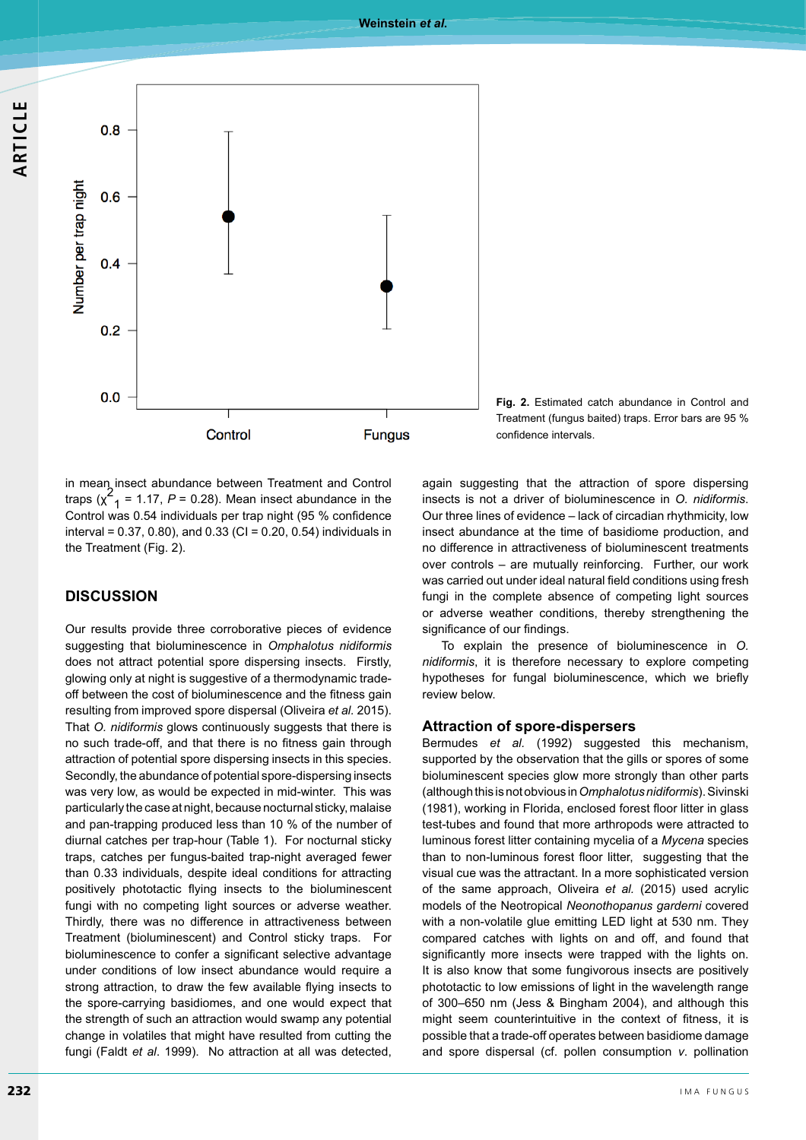





in mean insect abundance between Treatment and Control traps  $(x^2) = 1.17$ ,  $P = 0.28$ ). Mean insect abundance in the Control was 0.54 individuals per trap night (95 % confidence interval =  $0.37$ ,  $0.80$ ), and  $0.33$  (CI =  $0.20$ ,  $0.54$ ) individuals in the Treatment (Fig. 2).

## **DISCUSSION**

Our results provide three corroborative pieces of evidence suggesting that bioluminescence in *Omphalotus nidiformis* does not attract potential spore dispersing insects. Firstly, glowing only at night is suggestive of a thermodynamic tradeoff between the cost of bioluminescence and the fitness gain resulting from improved spore dispersal (Oliveira et al. 2015). That *O. nidiformis* glows continuously suggests that there is no such trade-off, and that there is no fitness gain through attraction of potential spore dispersing insects in this species. Secondly, the abundance of potential spore-dispersing insects was very low, as would be expected in mid-winter. This was particularly the case at night, because nocturnal sticky, malaise and pan-trapping produced less than 10 % of the number of diurnal catches per trap-hour (Table 1). For nocturnal sticky traps, catches per fungus-baited trap-night averaged fewer than 0.33 individuals, despite ideal conditions for attracting positively phototactic flying insects to the bioluminescent fungi with no competing light sources or adverse weather. Thirdly, there was no difference in attractiveness between Treatment (bioluminescent) and Control sticky traps. For bioluminescence to confer a significant selective advantage under conditions of low insect abundance would require a strong attraction, to draw the few available flying insects to the spore-carrying basidiomes, and one would expect that the strength of such an attraction would swamp any potential change in volatiles that might have resulted from cutting the fungi (Faldt *et al.* 1999). No attraction at all was detected, again suggesting that the attraction of spore dispersing insects is not a driver of bioluminescence in O. nidiformis. Our three lines of evidence - lack of circadian rhythmicity, low insect abundance at the time of basidiome production, and no difference in attractiveness of bioluminescent treatments over controls - are mutually reinforcing. Further, our work was carried out under ideal natural field conditions using fresh fungi in the complete absence of competing light sources or adverse weather conditions, thereby strengthening the significance of our findings.

To explain the presence of bioluminescence in *O. nidiformis*, it is therefore necessary to explore competing hypotheses for fungal bioluminescence, which we briefly review below.

#### **Attraction of spore-dispersers**

Bermudes *et al.* (1992) suggested this mechanism, supported by the observation that the gills or spores of some bioluminescent species glow more strongly than other parts (although this is not obvious in Omphalotus nidiformis). Sivinski (1981), working in Florida, enclosed forest floor litter in glass test-tubes and found that more arthropods were attracted to luminous forest litter containing mycelia of a *Mycena* species than to non-luminous forest floor litter, suggesting that the visual cue was the attractant. In a more sophisticated version of the same approach, Oliveira et al. (2015) used acrylic models of the Neotropical *Neonothopanus garderni*  with a non-volatile glue emitting LED light at 530 nm. They compared catches with lights on and off, and found that significantly more insects were trapped with the lights on. It is also know that some fungivorous insects are positively phototactic to low emissions of light in the wavelength range of 300–650 nm (Jess & Bingham 2004), and although this might seem counterintuitive in the context of fitness, it is possible that a trade-off operates between basidiome damage and spore dispersal (cf. pollen consumption *v*. pollination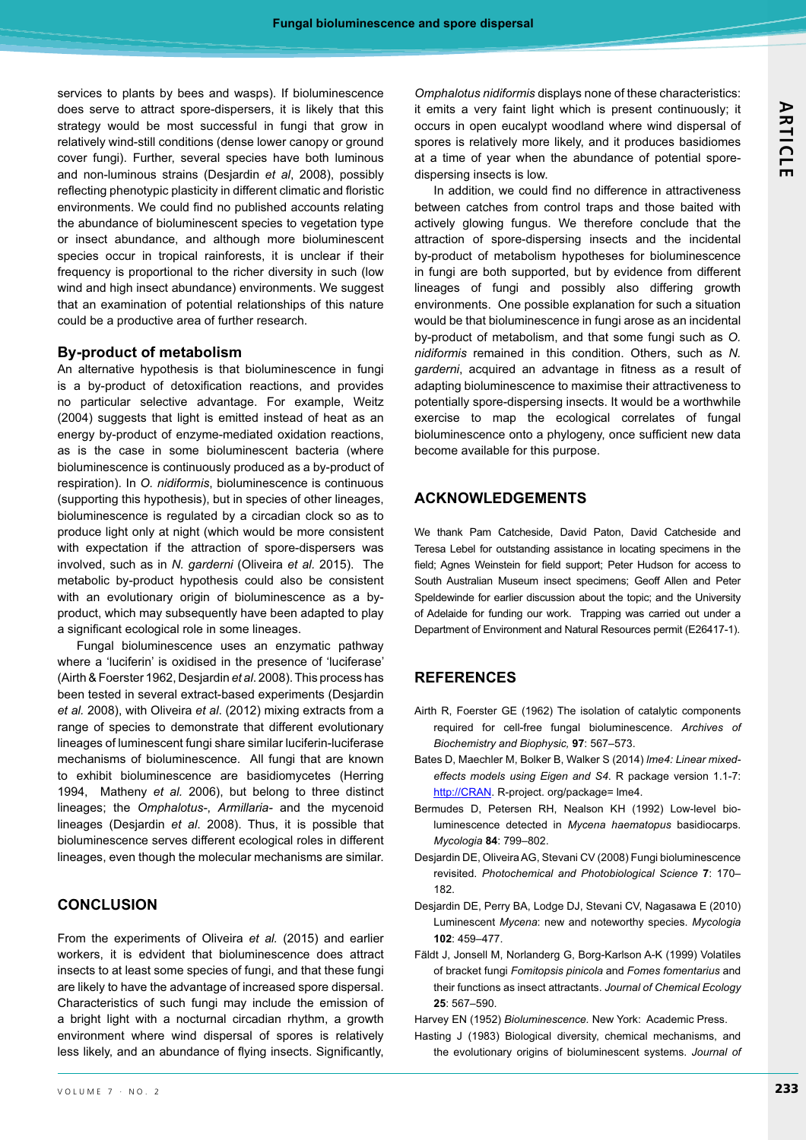services to plants by bees and wasps). If bioluminescence does serve to attract spore-dispersers, it is likely that this strategy would be most successful in fungi that grow in relatively wind-still conditions (dense lower canopy or ground cover fungi). Further, several species have both luminous and non-luminous strains (Desjardin et al, 2008), possibly reflecting phenotypic plasticity in different climatic and floristic environments. We could find no published accounts relating the abundance of bioluminescent species to vegetation type or insect abundance, and although more bioluminescent species occur in tropical rainforests, it is unclear if their frequency is proportional to the richer diversity in such (low wind and high insect abundance) environments. We suggest that an examination of potential relationships of this nature could be a productive area of further research.

#### **By-product of metabolism**

An alternative hypothesis is that bioluminescence in fungi is a by-product of detoxification reactions, and provides no particular selective advantage. For example, Weitz (2004) suggests that light is emitted instead of heat as an energy by-product of enzyme-mediated oxidation reactions, as is the case in some bioluminescent bacteria (where bioluminescence is continuously produced as a by-product of respiration). In *O. nidiformis*, bioluminescence is continuous (supporting this hypothesis), but in species of other lineages, bioluminescence is regulated by a circadian clock so as to produce light only at night (which would be more consistent with expectation if the attraction of spore-dispersers was involved, such as in *N. garderni* (Oliveira *et al.* 2015). The metabolic by-product hypothesis could also be consistent with an evolutionary origin of bioluminescence as a byproduct, which may subsequently have been adapted to play a significant ecological role in some lineages.

Fungal bioluminescence uses an enzymatic pathway where a 'luciferin' is oxidised in the presence of 'luciferase' (Airth & Foerster 1962, Desjardin et al. 2008). This process has been tested in several extract-based experiments (Desjardin et al. 2008), with Oliveira et al. (2012) mixing extracts from a range of species to demonstrate that different evolutionary lineages of luminescent fungi share similar luciferin-luciferase mechanisms of bioluminescence. All fungi that are known to exhibit bioluminescence are basidiomycetes (Herring 1994, Matheny et al. 2006), but belong to three distinct lineages; the *Omphalotus-*, *Armillaria-* and the mycenoid lineages (Desjardin et al. 2008). Thus, it is possible that bioluminescence serves different ecological roles in different lineages, even though the molecular mechanisms are similar.

## **CONCLUSION**

From the experiments of Oliveira et al. (2015) and earlier workers, it is edvident that bioluminescence does attract insects to at least some species of fungi, and that these fungi are likely to have the advantage of increased spore dispersal. Characteristics of such fungi may include the emission of a bright light with a nocturnal circadian rhythm, a growth environment where wind dispersal of spores is relatively less likely, and an abundance of flying insects. Significantly, *Omphalotus nidiformis* displays none of these characteristics: it emits a very faint light which is present continuously; it occurs in open eucalypt woodland where wind dispersal of spores is relatively more likely, and it produces basidiomes at a time of year when the abundance of potential sporedispersing insects is low.

In addition, we could find no difference in attractiveness between catches from control traps and those baited with actively glowing fungus. We therefore conclude that the attraction of spore-dispersing insects and the incidental by-product of metabolism hypotheses for bioluminescence in fungi are both supported, but by evidence from different lineages of fungi and possibly also differing growth environments. One possible explanation for such a situation would be that bioluminescence in fungi arose as an incidental by-product of metabolism, and that some fungi such as *O. nidiformis* remained in this condition. Others, such as *N.*  garderni, acquired an advantage in fitness as a result of adapting bioluminescence to maximise their attractiveness to potentially spore-dispersing insects. It would be a worthwhile exercise to map the ecological correlates of fungal bioluminescence onto a phylogeny, once sufficient new data become available for this purpose.

## **ACKNOWLEDGEMENTS**

We thank Pam Catcheside, David Paton, David Catcheside and Teresa Lebel for outstanding assistance in locating specimens in the field; Agnes Weinstein for field support; Peter Hudson for access to South Australian Museum insect specimens; Geoff Allen and Peter Speldewinde for earlier discussion about the topic; and the University of Adelaide for funding our work. Trapping was carried out under a Department of Environment and Natural Resources permit (E26417-1).

## **REFERENCES**

- Airth R, Foerster GE (1962) The isolation of catalytic components required for cell-free fungal bioluminescence. *Archives of Biochemistry and Biophysic,* 97: 567-573.
- Bates D, Maechler M, Bolker B, Walker S (2014) *lme4: Linear mixed*effects models using Eigen and S4. R package version 1.1-7: http://CRAN</u>. R-project. org/package= lme4.
- Bermudes D, Petersen RH, Nealson KH (1992) Low-level bioluminescence detected in *Mycena haematopus* basidiocarps. *Mycologia* 84: 799-802.
- Desjardin DE, Oliveira AG, Stevani CV (2008) Fungi bioluminescence revisited. Photochemical and Photobiological Science 7: 170-182
- Desjardin DE, Perry BA, Lodge DJ, Stevani CV, Nagasawa E (2010) Luminescent *Mycena*: new and noteworthy species. *Mycologia* **102**: 459-477.
- Fäldt J, Jonsell M, Norlanderg G, Borg-Karlson A-K (1999) Volatiles of bracket fungi *Fomitopsis pinicola* and *Fomes fomentarius* and their functions as insect attractants. *Journal of Chemical Ecology* **25**: 567-590

Harvey EN (1952) Bioluminescence. New York: Academic Press.

Hasting J (1983) Biological diversity, chemical mechanisms, and the evolutionary origins of bioluminescent systems. Journal of